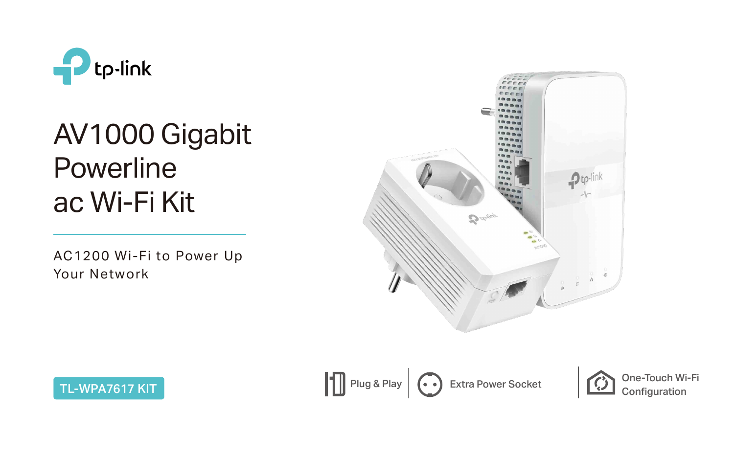

AC1200 Wi-Fi to Power Up Your Network





# AV1000 Gigabit Powerline ac Wi-Fi Kit

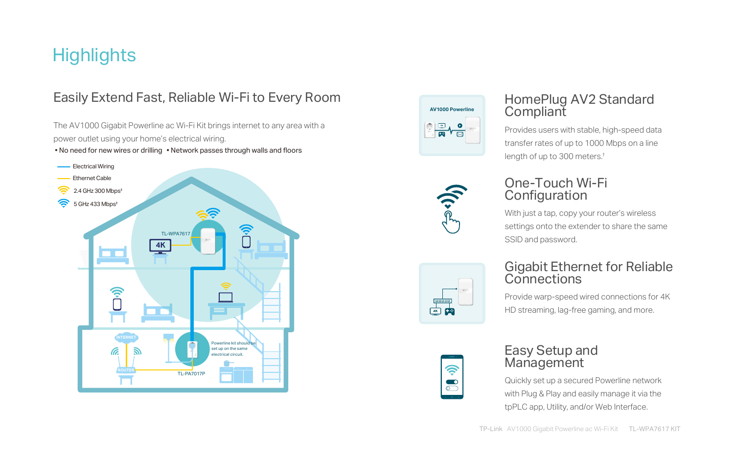The AV1000 Gigabit Powerline ac Wi-Fi Kit brings internet to any area with a power outlet using your home's electrical wiring.

• No need for new wires or drilling • Network passes through walls and floors

# **Highlights**

#### Easily Extend Fast, Reliable Wi-Fi to Every Room

#### Easy Setup and **Management**

#### HomePlug AV2 Standard Compliant

Provides users with stable, high-speed data transfer rates of up to 1000 Mbps on a line length of up to 300 meters.†

#### One-Touch Wi-Fi Configuration

With just a tap, copy your router's wireless settings onto the extender to share the same SSID and password.



Quickly set up a secured Powerline network with Plug & Play and easily manage it via the tpPLC app, Utility, and/or Web Interface.

#### Gigabit Ethernet for Reliable Connections

Provide warp-speed wired connections for 4K HD streaming, lag-free gaming, and more.

![](_page_1_Figure_5.jpeg)

![](_page_1_Picture_6.jpeg)

![](_page_1_Picture_7.jpeg)

![](_page_1_Picture_8.jpeg)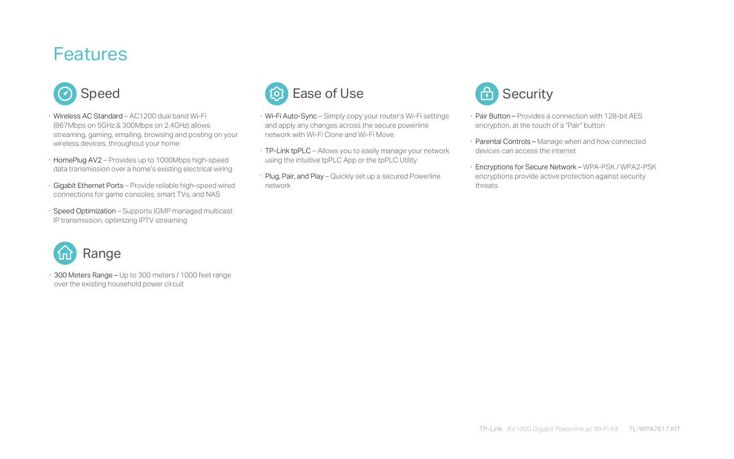· 300 Meters Range – Up to 300 meters / 1000 feet range over the existing household power circuit

![](_page_2_Picture_6.jpeg)

- · Wireless AC Standard AC1200 dual band Wi-Fi (867Mbps on 5GHz & 300Mbps on 2.4GHz) allows streaming, gaming, emailing, browsing and posting on your wireless devices, throughout your home
- · HomePlug AV2 Provides up to 1000Mbps high-speed data transmission over a home's existing electrical wiring
- · Gigabit Ethernet Ports Provide reliable high-speed wired connections for game consoles, smart TVs, and NAS
- · Speed Optimization Supports IGMP managed multicast IP transmission, optimizing IPTV streaming

## **Features**

![](_page_2_Picture_1.jpeg)

- · Wi-Fi Auto-Sync Simply copy your router's Wi-Fi settings and apply any changes across the secure powerline network with Wi-Fi Clone and Wi-Fi Move
- · TP-Link tpPLC Allows you to easily manage your network using the intuitive tpPLC App or the tpPLC Utility
- · Plug, Pair, and Play Quickly set up a secured Powerline network

![](_page_2_Picture_8.jpeg)

- · Pair Button Provides a connection with 128-bit AES encryption, at the touch of a "Pair" button
- · Parental Controls Manage when and how connected devices can access the internet
- · Encryptions for Secure Network WPA-PSK / WPA2-PSK encryptions provide active protection against security threats

![](_page_2_Picture_12.jpeg)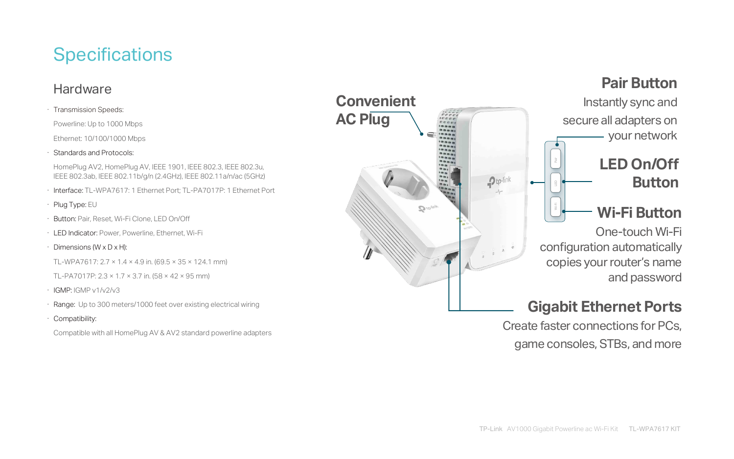# **Specifications**

#### **Hardware**

· Transmission Speeds:

Powerline: Up to 1000 Mbps

Ethernet: 10/100/1000 Mbps

- · Interface: TL-WPA7617: 1 Ethernet Port; TL-PA7017P: 1 Ethernet Port
- · Plug Type: EU
- · Button: Pair, Reset, Wi-Fi Clone, LED On/Off
- · LED Indicator: Power, Powerline, Ethernet, Wi-Fi
- $\cdot$  Dimensions (W x D x H):

TL-WPA7617:  $2.7 \times 1.4 \times 4.9$  in. (69.5  $\times$  35  $\times$  124.1 mm)

· Standards and Protocols:

HomePlug AV2, HomePlug AV, IEEE 1901, IEEE 802.3, IEEE 802.3u, IEEE 802.3ab, IEEE 802.11b/g/n (2.4GHz), IEEE 802.11a/n/ac (5GHz)

- TL-PA7017P:  $2.3 \times 1.7 \times 3.7$  in. (58  $\times$  42  $\times$  95 mm)
- · IGMP: IGMP v1/v2/v3
- · Range: Up to 300 meters/1000 feet over existing electrical wiring
- · Compatibility:

Compatible with all HomePlug AV & AV2 standard powerline adapters

![](_page_3_Figure_18.jpeg)

 $\mathbf{0}$  to-

## **LED On/Off Button**

## **Gigabit Ethernet Ports**

Create faster connections for PCs, game consoles, STBs, and more

### **Wi-Fi Button**

One-touch Wi-Fi configuration automatically copies your router's name and password

## **Pair Button**

Instantly sync and secure all adapters on your network